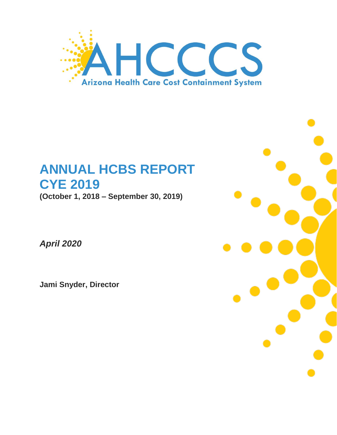

# **ANNUAL HCBS REPORT CYE 2019**

**(October 1, 2018 – September 30, 2019)**

*April 2020*

**Jami Snyder, Director**

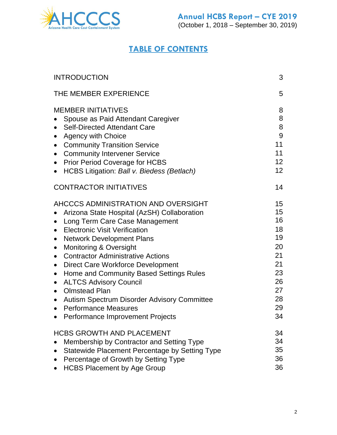

## **TABLE OF CONTENTS**

| <b>INTRODUCTION</b>                                                                                                                                                                                                                                                                                                                                                                                                                                                                                                                                                                                                                                                                   | 3                                                                                |
|---------------------------------------------------------------------------------------------------------------------------------------------------------------------------------------------------------------------------------------------------------------------------------------------------------------------------------------------------------------------------------------------------------------------------------------------------------------------------------------------------------------------------------------------------------------------------------------------------------------------------------------------------------------------------------------|----------------------------------------------------------------------------------|
| THE MEMBER EXPERIENCE                                                                                                                                                                                                                                                                                                                                                                                                                                                                                                                                                                                                                                                                 | 5                                                                                |
| <b>MEMBER INITIATIVES</b><br>Spouse as Paid Attendant Caregiver<br><b>Self-Directed Attendant Care</b><br>$\bullet$<br><b>Agency with Choice</b><br>$\bullet$<br><b>Community Transition Service</b><br>$\bullet$<br><b>Community Intervener Service</b><br>$\bullet$<br><b>Prior Period Coverage for HCBS</b><br>$\bullet$<br>HCBS Litigation: Ball v. Biedess (Betlach)                                                                                                                                                                                                                                                                                                             | 8<br>8<br>8<br>9<br>11<br>11<br>12 <sup>2</sup><br>12 <sup>2</sup>               |
| <b>CONTRACTOR INITIATIVES</b>                                                                                                                                                                                                                                                                                                                                                                                                                                                                                                                                                                                                                                                         | 14                                                                               |
| AHCCCS ADMINISTRATION AND OVERSIGHT<br>Arizona State Hospital (AzSH) Collaboration<br>Long Term Care Case Management<br><b>Electronic Visit Verification</b><br>$\bullet$<br><b>Network Development Plans</b><br>$\bullet$<br><b>Monitoring &amp; Oversight</b><br>$\bullet$<br><b>Contractor Administrative Actions</b><br>$\bullet$<br><b>Direct Care Workforce Development</b><br>$\bullet$<br>Home and Community Based Settings Rules<br>$\bullet$<br><b>ALTCS Advisory Council</b><br>$\bullet$<br><b>Olmstead Plan</b><br>$\bullet$<br>Autism Spectrum Disorder Advisory Committee<br>$\bullet$<br><b>Performance Measures</b><br>$\bullet$<br>Performance Improvement Projects | 15<br>15<br>16<br>18<br>19<br>20<br>21<br>21<br>23<br>26<br>27<br>28<br>29<br>34 |
| <b>HCBS GROWTH AND PLACEMENT</b><br>Membership by Contractor and Setting Type<br>Statewide Placement Percentage by Setting Type<br>Percentage of Growth by Setting Type<br><b>HCBS Placement by Age Group</b>                                                                                                                                                                                                                                                                                                                                                                                                                                                                         | 34<br>34<br>35<br>36<br>36                                                       |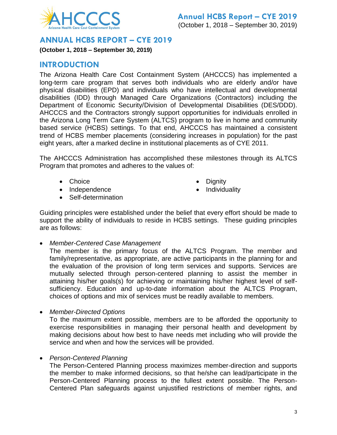

### **ANNUAL HCBS REPORT – CYE 2019**

**(October 1, 2018 – September 30, 2019)**

## **INTRODUCTION**

The Arizona Health Care Cost Containment System (AHCCCS) has implemented a long-term care program that serves both individuals who are elderly and/or have physical disabilities (EPD) and individuals who have intellectual and developmental disabilities (IDD) through Managed Care Organizations (Contractors) including the Department of Economic Security/Division of Developmental Disabilities (DES/DDD). AHCCCS and the Contractors strongly support opportunities for individuals enrolled in the Arizona Long Term Care System (ALTCS) program to live in home and community based service (HCBS) settings. To that end, AHCCCS has maintained a consistent trend of HCBS member placements (considering increases in population) for the past eight years, after a marked decline in institutional placements as of CYE 2011.

The AHCCCS Administration has accomplished these milestones through its ALTCS Program that promotes and adheres to the values of:

- Choice **Dignity**
- 
- Independence **Individuality**
- Self-determination

Guiding principles were established under the belief that every effort should be made to support the ability of individuals to reside in HCBS settings. These guiding principles are as follows:

*Member-Centered Case Management*

The member is the primary focus of the ALTCS Program. The member and family/representative, as appropriate, are active participants in the planning for and the evaluation of the provision of long term services and supports. Services are mutually selected through person-centered planning to assist the member in attaining his/her goals(s) for achieving or maintaining his/her highest level of selfsufficiency. Education and up-to-date information about the ALTCS Program, choices of options and mix of services must be readily available to members.

*Member-Directed Options*

To the maximum extent possible, members are to be afforded the opportunity to exercise responsibilities in managing their personal health and development by making decisions about how best to have needs met including who will provide the service and when and how the services will be provided.

*Person-Centered Planning*

The Person-Centered Planning process maximizes member-direction and supports the member to make informed decisions, so that he/she can lead/participate in the Person-Centered Planning process to the fullest extent possible. The Person-Centered Plan safeguards against unjustified restrictions of member rights, and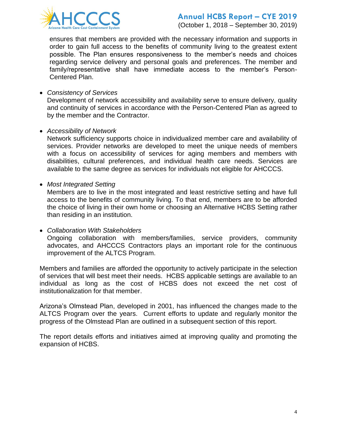

ensures that members are provided with the necessary information and supports in order to gain full access to the benefits of community living to the greatest extent possible. The Plan ensures responsiveness to the member's needs and choices regarding service delivery and personal goals and preferences. The member and family/representative shall have immediate access to the member's Person-Centered Plan.

*Consistency of Services*

Development of network accessibility and availability serve to ensure delivery, quality and continuity of services in accordance with the Person-Centered Plan as agreed to by the member and the Contractor.

*Accessibility of Network*

Network sufficiency supports choice in individualized member care and availability of services. Provider networks are developed to meet the unique needs of members with a focus on accessibility of services for aging members and members with disabilities, cultural preferences, and individual health care needs. Services are available to the same degree as services for individuals not eligible for AHCCCS.

*Most Integrated Setting*

Members are to live in the most integrated and least restrictive setting and have full access to the benefits of community living. To that end, members are to be afforded the choice of living in their own home or choosing an Alternative HCBS Setting rather than residing in an institution.

*Collaboration With Stakeholders*

Ongoing collaboration with members/families, service providers, community advocates, and AHCCCS Contractors plays an important role for the continuous improvement of the ALTCS Program.

Members and families are afforded the opportunity to actively participate in the selection of services that will best meet their needs. HCBS applicable settings are available to an individual as long as the cost of HCBS does not exceed the net cost of institutionalization for that member.

Arizona's Olmstead Plan, developed in 2001, has influenced the changes made to the ALTCS Program over the years. Current efforts to update and regularly monitor the progress of the Olmstead Plan are outlined in a subsequent section of this report.

The report details efforts and initiatives aimed at improving quality and promoting the expansion of HCBS.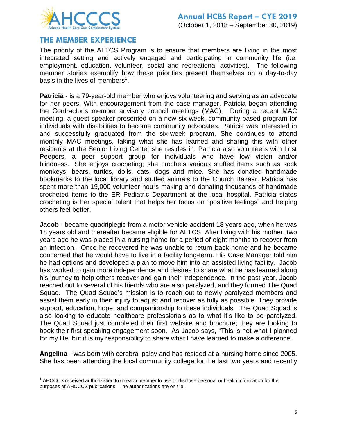

## **THE MEMBER EXPERIENCE**

The priority of the ALTCS Program is to ensure that members are living in the most integrated setting and actively engaged and participating in community life (i.e. employment, education, volunteer, social and recreational activities). The following member stories exemplify how these priorities present themselves on a day-to-day basis in the lives of members<sup>1</sup>.

**Patricia** - is a 79-year-old member who enjoys volunteering and serving as an advocate for her peers. With encouragement from the case manager, Patricia began attending the Contractor's member advisory council meetings (MAC). During a recent MAC meeting, a guest speaker presented on a new six-week, community-based program for individuals with disabilities to become community advocates. Patricia was interested in and successfully graduated from the six-week program. She continues to attend monthly MAC meetings, taking what she has learned and sharing this with other residents at the Senior Living Center she resides in. Patricia also volunteers with Lost Peepers, a peer support group for individuals who have low vision and/or blindness. She enjoys crocheting; she crochets various stuffed items such as sock monkeys, bears, turtles, dolls, cats, dogs and mice. She has donated handmade bookmarks to the local library and stuffed animals to the Church Bazaar. Patricia has spent more than 19,000 volunteer hours making and donating thousands of handmade crocheted items to the ER Pediatric Department at the local hospital. Patricia states crocheting is her special talent that helps her focus on "positive feelings" and helping others feel better.

**Jacob** - became quadriplegic from a motor vehicle accident 18 years ago, when he was 18 years old and thereafter became eligible for ALTCS. After living with his mother, two years ago he was placed in a nursing home for a period of eight months to recover from an infection. Once he recovered he was unable to return back home and he became concerned that he would have to live in a facility long-term. His Case Manager told him he had options and developed a plan to move him into an assisted living facility. Jacob has worked to gain more independence and desires to share what he has learned along his journey to help others recover and gain their independence. In the past year, Jacob reached out to several of his friends who are also paralyzed, and they formed The Quad Squad. The Quad Squad's mission is to reach out to newly paralyzed members and assist them early in their injury to adjust and recover as fully as possible. They provide support, education, hope, and companionship to these individuals. The Quad Squad is also looking to educate healthcare professionals as to what it's like to be paralyzed. The Quad Squad just completed their first website and brochure; they are looking to book their first speaking engagement soon. As Jacob says, "This is not what I planned for my life, but it is my responsibility to share what I have learned to make a difference.

**Angelina** - was born with cerebral palsy and has resided at a nursing home since 2005. She has been attending the local community college for the last two years and recently

l  $1$  AHCCCS received authorization from each member to use or disclose personal or health information for the purposes of AHCCCS publications. The authorizations are on file.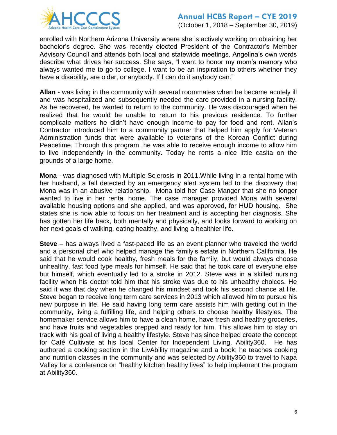

(October 1, 2018 – September 30, 2019)

enrolled with Northern Arizona University where she is actively working on obtaining her bachelor's degree. She was recently elected President of the Contractor's Member Advisory Council and attends both local and statewide meetings. Angelina's own words describe what drives her success. She says, "I want to honor my mom's memory who always wanted me to go to college. I want to be an inspiration to others whether they have a disability, are older, or anybody. If I can do it anybody can."

**Allan** - was living in the community with several roommates when he became acutely ill and was hospitalized and subsequently needed the care provided in a nursing facility. As he recovered, he wanted to return to the community. He was discouraged when he realized that he would be unable to return to his previous residence. To further complicate matters he didn't have enough income to pay for food and rent. Allan's Contractor introduced him to a community partner that helped him apply for Veteran Administration funds that were available to veterans of the Korean Conflict during Peacetime. Through this program, he was able to receive enough income to allow him to live independently in the community. Today he rents a nice little casita on the grounds of a large home.

**Mona** - was diagnosed with Multiple Sclerosis in 2011.While living in a rental home with her husband, a fall detected by an emergency alert system led to the discovery that Mona was in an abusive relationship. Mona told her Case Manger that she no longer wanted to live in her rental home. The case manager provided Mona with several available housing options and she applied, and was approved, for HUD housing. She states she is now able to focus on her treatment and is accepting her diagnosis. She has gotten her life back, both mentally and physically, and looks forward to working on her next goals of walking, eating healthy, and living a healthier life.

**Steve** – has always lived a fast-paced life as an event planner who traveled the world and a personal chef who helped manage the family's estate in Northern California. He said that he would cook healthy, fresh meals for the family, but would always choose unhealthy, fast food type meals for himself. He said that he took care of everyone else but himself, which eventually led to a stroke in 2012. Steve was in a skilled nursing facility when his doctor told him that his stroke was due to his unhealthy choices. He said it was that day when he changed his mindset and took his second chance at life. Steve began to receive long term care services in 2013 which allowed him to pursue his new purpose in life. He said having long term care assists him with getting out in the community, living a fulfilling life, and helping others to choose healthy lifestyles. The homemaker service allows him to have a clean home, have fresh and healthy groceries, and have fruits and vegetables prepped and ready for him. This allows him to stay on track with his goal of living a healthy lifestyle. Steve has since helped create the concept for Café Cultivate at his local Center for Independent Living, Ability360. He has authored a cooking section in the LivAbility magazine and a book; he teaches cooking and nutrition classes in the community and was selected by Ability360 to travel to Napa Valley for a conference on "healthy kitchen healthy lives" to help implement the program at Ability360.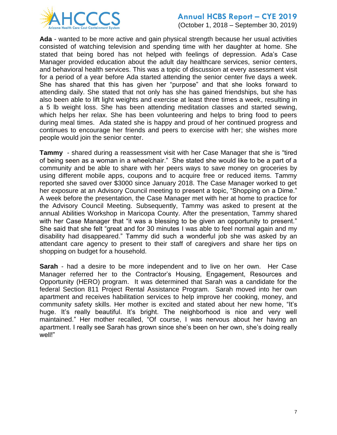

(October 1, 2018 – September 30, 2019)

**Ada** - wanted to be more active and gain physical strength because her usual activities consisted of watching television and spending time with her daughter at home. She stated that being bored has not helped with feelings of depression. Ada's Case Manager provided education about the adult day healthcare services, senior centers, and behavioral health services. This was a topic of discussion at every assessment visit for a period of a year before Ada started attending the senior center five days a week. She has shared that this has given her "purpose" and that she looks forward to attending daily. She stated that not only has she has gained friendships, but she has also been able to lift light weights and exercise at least three times a week, resulting in a 5 lb weight loss. She has been attending meditation classes and started sewing, which helps her relax. She has been volunteering and helps to bring food to peers during meal times. Ada stated she is happy and proud of her continued progress and continues to encourage her friends and peers to exercise with her; she wishes more people would join the senior center.

**Tammy** - shared during a reassessment visit with her Case Manager that she is "tired of being seen as a woman in a wheelchair." She stated she would like to be a part of a community and be able to share with her peers ways to save money on groceries by using different mobile apps, coupons and to acquire free or reduced items. Tammy reported she saved over \$3000 since January 2018. The Case Manager worked to get her exposure at an Advisory Council meeting to present a topic, "Shopping on a Dime." A week before the presentation, the Case Manager met with her at home to practice for the Advisory Council Meeting. Subsequently, Tammy was asked to present at the annual Abilities Workshop in Maricopa County. After the presentation, Tammy shared with her Case Manager that "it was a blessing to be given an opportunity to present." She said that she felt "great and for 30 minutes I was able to feel normal again and my disability had disappeared." Tammy did such a wonderful job she was asked by an attendant care agency to present to their staff of caregivers and share her tips on shopping on budget for a household.

**Sarah** - had a desire to be more independent and to live on her own. Her Case Manager referred her to the Contractor's Housing, Engagement, Resources and Opportunity (HERO) program. It was determined that Sarah was a candidate for the federal Section 811 Project Rental Assistance Program. Sarah moved into her own apartment and receives habilitation services to help improve her cooking, money, and community safety skills. Her mother is excited and stated about her new home, "It's huge. It's really beautiful. It's bright. The neighborhood is nice and very well maintained." Her mother recalled, "Of course, I was nervous about her having an apartment. I really see Sarah has grown since she's been on her own, she's doing really well!"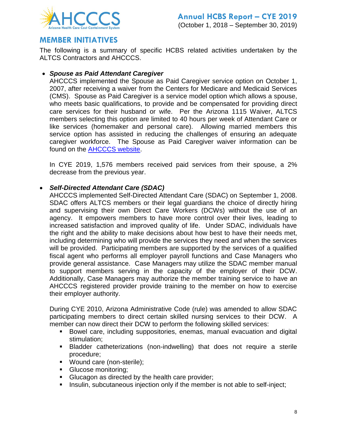

## **MEMBER INITIATIVES**

The following is a summary of specific HCBS related activities undertaken by the ALTCS Contractors and AHCCCS.

#### *Spouse as Paid Attendant Caregiver*

AHCCCS implemented the Spouse as Paid Caregiver service option on October 1, 2007, after receiving a waiver from the Centers for Medicare and Medicaid Services (CMS). Spouse as Paid Caregiver is a service model option which allows a spouse, who meets basic qualifications, to provide and be compensated for providing direct care services for their husband or wife. Per the Arizona 1115 Waiver, ALTCS members selecting this option are limited to 40 hours per week of Attendant Care or like services (homemaker and personal care). Allowing married members this service option has assisted in reducing the challenges of ensuring an adequate caregiver workforce. The Spouse as Paid Caregiver waiver information can be found on the **AHCCCS** website.

In CYE 2019, 1,576 members received paid services from their spouse, a 2% decrease from the previous year.

#### *Self-Directed Attendant Care (SDAC)*

AHCCCS implemented Self-Directed Attendant Care (SDAC) on September 1, 2008. SDAC offers ALTCS members or their legal guardians the choice of directly hiring and supervising their own Direct Care Workers (DCWs) without the use of an agency. It empowers members to have more control over their lives, leading to increased satisfaction and improved quality of life. Under SDAC, individuals have the right and the ability to make decisions about how best to have their needs met, including determining who will provide the services they need and when the services will be provided. Participating members are supported by the services of a qualified fiscal agent who performs all employer payroll functions and Case Managers who provide general assistance. Case Managers may utilize the SDAC member manual to support members serving in the capacity of the employer of their DCW. Additionally, Case Managers may authorize the member training service to have an AHCCCS registered provider provide training to the member on how to exercise their employer authority.

During CYE 2010, Arizona Administrative Code (rule) was amended to allow SDAC participating members to direct certain skilled nursing services to their DCW. A member can now direct their DCW to perform the following skilled services:

- Bowel care, including suppositories, enemas, manual evacuation and digital stimulation;
- Bladder catheterizations (non-indwelling) that does not require a sterile procedure;
- **Wound care (non-sterile);**
- Glucose monitoring;
- **Glucagon as directed by the health care provider;**
- **Insulin, subcutaneous injection only if the member is not able to self-inject;**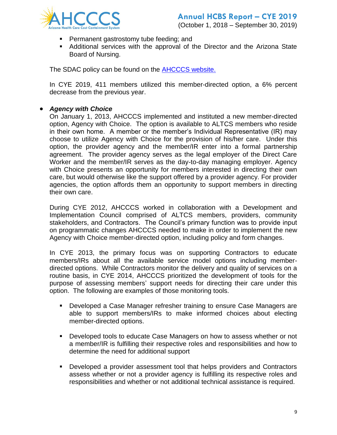

- **Permanent gastrostomy tube feeding; and**
- Additional services with the approval of the Director and the Arizona State Board of Nursing.

The SDAC policy can be found on the [AHCCCS website.](https://www.azahcccs.gov/shared/Downloads/MedicalPolicyManual/1300/1320-A.pdf)

In CYE 2019, 411 members utilized this member-directed option, a 6% percent decrease from the previous year.

#### *Agency with Choice*

On January 1, 2013, AHCCCS implemented and instituted a new member-directed option, Agency with Choice. The option is available to ALTCS members who reside in their own home. A member or the member's Individual Representative (IR) may choose to utilize Agency with Choice for the provision of his/her care. Under this option, the provider agency and the member/IR enter into a formal partnership agreement. The provider agency serves as the legal employer of the Direct Care Worker and the member/IR serves as the day-to-day managing employer. Agency with Choice presents an opportunity for members interested in directing their own care, but would otherwise like the support offered by a provider agency. For provider agencies, the option affords them an opportunity to support members in directing their own care.

During CYE 2012, AHCCCS worked in collaboration with a Development and Implementation Council comprised of ALTCS members, providers, community stakeholders, and Contractors. The Council's primary function was to provide input on programmatic changes AHCCCS needed to make in order to implement the new Agency with Choice member-directed option, including policy and form changes.

In CYE 2013, the primary focus was on supporting Contractors to educate members/IRs about all the available service model options including memberdirected options. While Contractors monitor the delivery and quality of services on a routine basis, in CYE 2014, AHCCCS prioritized the development of tools for the purpose of assessing members' support needs for directing their care under this option. The following are examples of those monitoring tools.

- Developed a Case Manager refresher training to ensure Case Managers are able to support members/IRs to make informed choices about electing member-directed options.
- Developed tools to educate Case Managers on how to assess whether or not a member/IR is fulfilling their respective roles and responsibilities and how to determine the need for additional support
- Developed a provider assessment tool that helps providers and Contractors assess whether or not a provider agency is fulfilling its respective roles and responsibilities and whether or not additional technical assistance is required.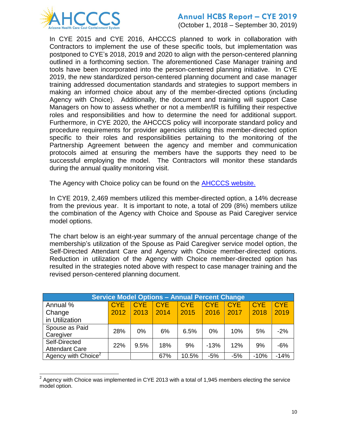

l

## **Annual HCBS Report – CYE 2019**

(October 1, 2018 – September 30, 2019)

In CYE 2015 and CYE 2016, AHCCCS planned to work in collaboration with Contractors to implement the use of these specific tools, but implementation was postponed to CYE's 2018, 2019 and 2020 to align with the person-centered planning outlined in a forthcoming section. The aforementioned Case Manager training and tools have been incorporated into the person-centered planning initiative. In CYE 2019, the new standardized person-centered planning document and case manager training addressed documentation standards and strategies to support members in making an informed choice about any of the member-directed options (including Agency with Choice). Additionally, the document and training will support Case Managers on how to assess whether or not a member/IR is fulfilling their respective roles and responsibilities and how to determine the need for additional support. Furthermore, in CYE 2020, the AHCCCS policy will incorporate standard policy and procedure requirements for provider agencies utilizing this member-directed option specific to their roles and responsibilities pertaining to the monitoring of the Partnership Agreement between the agency and member and communication protocols aimed at ensuring the members have the supports they need to be successful employing the model. The Contractors will monitor these standards during the annual quality monitoring visit.

The Agency with Choice policy can be found on the **AHCCCS website.** 

In CYE 2019, 2,469 members utilized this member-directed option, a 14% decrease from the previous year. It is important to note, a total of 209 (8%) members utilize the combination of the Agency with Choice and Spouse as Paid Caregiver service model options.

The chart below is an eight-year summary of the annual percentage change of the membership's utilization of the Spouse as Paid Caregiver service model option, the Self-Directed Attendant Care and Agency with Choice member-directed options. Reduction in utilization of the Agency with Choice member-directed option has resulted in the strategies noted above with respect to case manager training and the revised person-centered planning document.

| <b>Service Model Options - Annual Percent Change</b> |            |            |            |            |            |            |            |            |  |
|------------------------------------------------------|------------|------------|------------|------------|------------|------------|------------|------------|--|
| Annual %                                             | <b>CYE</b> | <b>CYE</b> | <b>CYE</b> | <b>CYE</b> | <b>CYE</b> | <b>CYE</b> | <b>CYE</b> | <b>CYE</b> |  |
| Change                                               | 2012       | 2013       | 2014       | 2015       | 2016       | 2017       | 2018       | 2019       |  |
| in Utilization                                       |            |            |            |            |            |            |            |            |  |
| Spouse as Paid                                       | 28%        | $0\%$      | 6%         | 6.5%       | $0\%$      | 10%        | 5%         | $-2%$      |  |
| Caregiver                                            |            |            |            |            |            |            |            |            |  |
| Self-Directed                                        | 22%        | 9.5%       | 18%        | 9%         | $-13%$     | 12%        | 9%         | $-6%$      |  |
| <b>Attendant Care</b>                                |            |            |            |            |            |            |            |            |  |
| Agency with $Choice2$                                |            |            | 67%        | 10.5%      | $-5%$      | $-5%$      | $-10%$     | $-14%$     |  |

 $2$  Agency with Choice was implemented in CYE 2013 with a total of 1,945 members electing the service model option.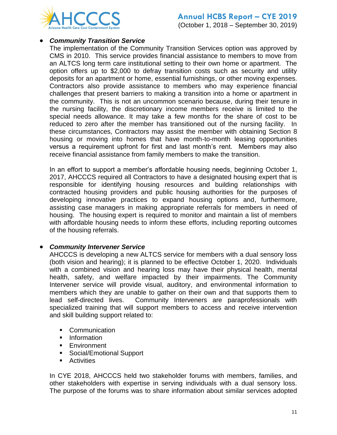

#### *Community Transition Service*

The implementation of the Community Transition Services option was approved by CMS in 2010. This service provides financial assistance to members to move from an ALTCS long term care institutional setting to their own home or apartment. The option offers up to \$2,000 to defray transition costs such as security and utility deposits for an apartment or home, essential furnishings, or other moving expenses. Contractors also provide assistance to members who may experience financial challenges that present barriers to making a transition into a home or apartment in the community. This is not an uncommon scenario because, during their tenure in the nursing facility, the discretionary income members receive is limited to the special needs allowance. It may take a few months for the share of cost to be reduced to zero after the member has transitioned out of the nursing facility. In these circumstances, Contractors may assist the member with obtaining Section 8 housing or moving into homes that have month-to-month leasing opportunities versus a requirement upfront for first and last month's rent. Members may also receive financial assistance from family members to make the transition.

In an effort to support a member's affordable housing needs, beginning October 1, 2017, AHCCCS required all Contractors to have a designated housing expert that is responsible for identifying housing resources and building relationships with contracted housing providers and public housing authorities for the purposes of developing innovative practices to expand housing options and, furthermore, assisting case managers in making appropriate referrals for members in need of housing. The housing expert is required to monitor and maintain a list of members with affordable housing needs to inform these efforts, including reporting outcomes of the housing referrals.

#### *Community Intervener Service*

AHCCCS is developing a new ALTCS service for members with a dual sensory loss (both vision and hearing); it is planned to be effective October 1, 2020. Individuals with a combined vision and hearing loss may have their physical health, mental health, safety, and welfare impacted by their impairments. The Community Intervener service will provide visual, auditory, and environmental information to members which they are unable to gather on their own and that supports them to lead self-directed lives. Community Interveners are paraprofessionals with specialized training that will support members to access and receive intervention and skill building support related to:

- Communication
- **Information**
- **Environment**
- Social/Emotional Support
- **Activities**

In CYE 2018, AHCCCS held two stakeholder forums with members, families, and other stakeholders with expertise in serving individuals with a dual sensory loss. The purpose of the forums was to share information about similar services adopted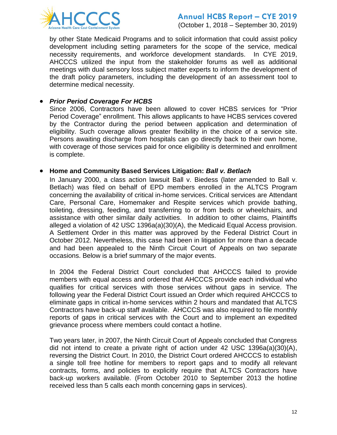

(October 1, 2018 – September 30, 2019)

by other State Medicaid Programs and to solicit information that could assist policy development including setting parameters for the scope of the service, medical necessity requirements, and workforce development standards. In CYE 2019, AHCCCS utilized the input from the stakeholder forums as well as additional meetings with dual sensory loss subject matter experts to inform the development of the draft policy parameters, including the development of an assessment tool to determine medical necessity.

#### *Prior Period Coverage For HCBS*

Since 2006, Contractors have been allowed to cover HCBS services for "Prior Period Coverage" enrollment. This allows applicants to have HCBS services covered by the Contractor during the period between application and determination of eligibility. Such coverage allows greater flexibility in the choice of a service site. Persons awaiting discharge from hospitals can go directly back to their own home, with coverage of those services paid for once eligibility is determined and enrollment is complete.

#### **Home and Community Based Services Litigation:** *Ball v. Betlach*

In January 2000, a class action lawsuit Ball v. Biedess (later amended to Ball v. Betlach) was filed on behalf of EPD members enrolled in the ALTCS Program concerning the availability of critical in-home services. Critical services are Attendant Care, Personal Care, Homemaker and Respite services which provide bathing, toileting, dressing, feeding, and transferring to or from beds or wheelchairs, and assistance with other similar daily activities. In addition to other claims, Plaintiffs alleged a violation of 42 USC 1396a(a)(30)(A), the Medicaid Equal Access provision. A Settlement Order in this matter was approved by the Federal District Court in October 2012. Nevertheless, this case had been in litigation for more than a decade and had been appealed to the Ninth Circuit Court of Appeals on two separate occasions. Below is a brief summary of the major events.

In 2004 the Federal District Court concluded that AHCCCS failed to provide members with equal access and ordered that AHCCCS provide each individual who qualifies for critical services with those services without gaps in service. The following year the Federal District Court issued an Order which required AHCCCS to eliminate gaps in critical in-home services within 2 hours and mandated that ALTCS Contractors have back-up staff available. AHCCCS was also required to file monthly reports of gaps in critical services with the Court and to implement an expedited grievance process where members could contact a hotline.

Two years later, in 2007, the Ninth Circuit Court of Appeals concluded that Congress did not intend to create a private right of action under 42 USC 1396a(a)(30)(A), reversing the District Court. In 2010, the District Court ordered AHCCCS to establish a single toll free hotline for members to report gaps and to modify all relevant contracts, forms, and policies to explicitly require that ALTCS Contractors have back-up workers available. (From October 2010 to September 2013 the hotline received less than 5 calls each month concerning gaps in services).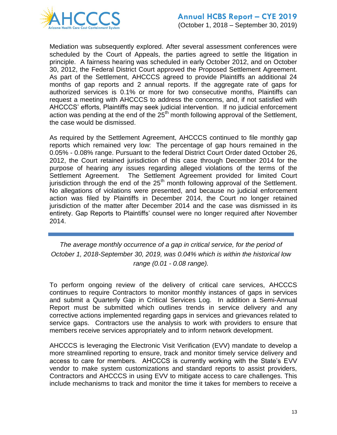

Mediation was subsequently explored. After several assessment conferences were scheduled by the Court of Appeals, the parties agreed to settle the litigation in principle. A fairness hearing was scheduled in early October 2012, and on October 30, 2012, the Federal District Court approved the Proposed Settlement Agreement. As part of the Settlement, AHCCCS agreed to provide Plaintiffs an additional 24 months of gap reports and 2 annual reports. If the aggregate rate of gaps for authorized services is 0.1% or more for two consecutive months, Plaintiffs can request a meeting with AHCCCS to address the concerns, and, if not satisfied with AHCCCS' efforts, Plaintiffs may seek judicial intervention. If no judicial enforcement action was pending at the end of the  $25<sup>th</sup>$  month following approval of the Settlement, the case would be dismissed.

As required by the Settlement Agreement, AHCCCS continued to file monthly gap reports which remained very low: The percentage of gap hours remained in the 0.05% - 0.08% range. Pursuant to the federal District Court Order dated October 26, 2012, the Court retained jurisdiction of this case through December 2014 for the purpose of hearing any issues regarding alleged violations of the terms of the Settlement Agreement. The Settlement Agreement provided for limited Court jurisdiction through the end of the  $25<sup>th</sup>$  month following approval of the Settlement. No allegations of violations were presented, and because no judicial enforcement action was filed by Plaintiffs in December 2014, the Court no longer retained jurisdiction of the matter after December 2014 and the case was dismissed in its entirety. Gap Reports to Plaintiffs' counsel were no longer required after November 2014.

*The average monthly occurrence of a gap in critical service, for the period of October 1, 2018-September 30, 2019, was 0.04% which is within the historical low range (0.01 - 0.08 range).* 

To perform ongoing review of the delivery of critical care services, AHCCCS continues to require Contractors to monitor monthly instances of gaps in services and submit a Quarterly Gap in Critical Services Log. In addition a Semi-Annual Report must be submitted which outlines trends in service delivery and any corrective actions implemented regarding gaps in services and grievances related to service gaps. Contractors use the analysis to work with providers to ensure that members receive services appropriately and to inform network development.

AHCCCS is leveraging the Electronic Visit Verification (EVV) mandate to develop a more streamlined reporting to ensure, track and monitor timely service delivery and access to care for members. AHCCCS is currently working with the State's EVV vendor to make system customizations and standard reports to assist providers, Contractors and AHCCCS in using EVV to mitigate access to care challenges. This include mechanisms to track and monitor the time it takes for members to receive a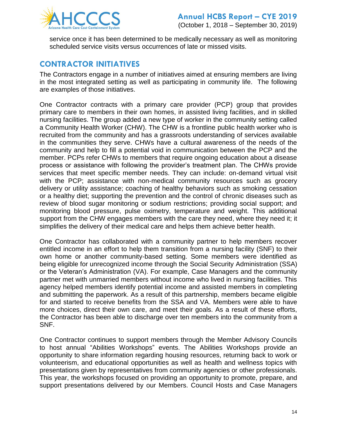

service once it has been determined to be medically necessary as well as monitoring scheduled service visits versus occurrences of late or missed visits.

## **CONTRACTOR INITIATIVES**

The Contractors engage in a number of initiatives aimed at ensuring members are living in the most integrated setting as well as participating in community life. The following are examples of those initiatives.

One Contractor contracts with a primary care provider (PCP) group that provides primary care to members in their own homes, in assisted living facilities, and in skilled nursing facilities. The group added a new type of worker in the community setting called a Community Health Worker (CHW). The CHW is a frontline public health worker who is recruited from the community and has a grassroots understanding of services available in the communities they serve. CHWs have a cultural awareness of the needs of the community and help to fill a potential void in communication between the PCP and the member. PCPs refer CHWs to members that require ongoing education about a disease process or assistance with following the provider's treatment plan. The CHWs provide services that meet specific member needs. They can include: on-demand virtual visit with the PCP; assistance with non-medical community resources such as grocery delivery or utility assistance; coaching of healthy behaviors such as smoking cessation or a healthy diet; supporting the prevention and the control of chronic diseases such as review of blood sugar monitoring or sodium restrictions; providing social support; and monitoring blood pressure, pulse oximetry, temperature and weight. This additional support from the CHW engages members with the care they need, where they need it; it simplifies the delivery of their medical care and helps them achieve better health.

One Contractor has collaborated with a community partner to help members recover entitled income in an effort to help them transition from a nursing facility (SNF) to their own home or another community-based setting. Some members were identified as being eligible for unrecognized income through the Social Security Administration (SSA) or the Veteran's Administration (VA). For example, Case Managers and the community partner met with unmarried members without income who lived in nursing facilities. This agency helped members identify potential income and assisted members in completing and submitting the paperwork. As a result of this partnership, members became eligible for and started to receive benefits from the SSA and VA. Members were able to have more choices, direct their own care, and meet their goals. As a result of these efforts, the Contractor has been able to discharge over ten members into the community from a SNF.

One Contractor continues to support members through the Member Advisory Councils to host annual "Abilities Workshops" events. The Abilities Workshops provide an opportunity to share information regarding housing resources, returning back to work or volunteerism, and educational opportunities as well as health and wellness topics with presentations given by representatives from community agencies or other professionals. This year, the workshops focused on providing an opportunity to promote, prepare, and support presentations delivered by our Members. Council Hosts and Case Managers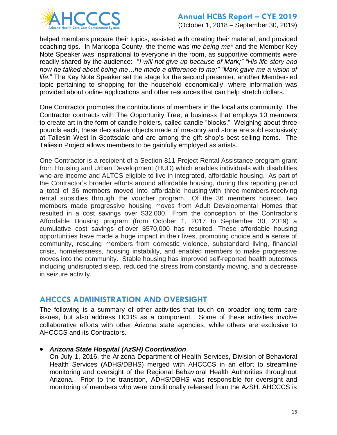

(October 1, 2018 – September 30, 2019)

helped members prepare their topics, assisted with creating their material, and provided coaching tips. In Maricopa County, the theme was *me being me\** and the Member Key Note Speaker was inspirational to everyone in the room, as supportive comments were readily shared by the audience: "*I will not give up because of Mark;" "His life story and how he talked about being me…he made a difference to me;" "Mark gave me a vision of life.*" The Key Note Speaker set the stage for the second presenter, another Member-led topic pertaining to shopping for the household economically, where information was provided about online applications and other resources that can help stretch dollars.

One Contractor promotes the contributions of members in the local arts community. The Contractor contracts with The Opportunity Tree, a business that employs 10 members to create art in the form of candle holders, called candle "blocks." Weighing about three pounds each, these decorative objects made of masonry and stone are sold exclusively at Taliesin West in Scottsdale and are among the gift shop's best-selling items. The Taliesin Project allows members to be gainfully employed as artists.

One Contractor is a recipient of a Section 811 Project Rental Assistance program grant from Housing and Urban Development (HUD) which enables individuals with disabilities who are income and ALTCS-eligible to live in integrated, affordable housing. As part of the Contractor's broader efforts around affordable housing, during this reporting period a total of 36 members moved into affordable housing with three members receiving rental subsidies through the voucher program. Of the 36 members housed, two members made progressive housing moves from Adult Developmental Homes that resulted in a cost savings over \$32,000. From the conception of the Contractor's Affordable Housing program (from October 1, 2017 to September 30, 2019) a cumulative cost savings of over \$570,000 has resulted. These affordable housing opportunities have made a huge impact in their lives, promoting choice and a sense of community, rescuing members from domestic violence, substandard living, financial crisis, homelessness, housing instability, and enabled members to make progressive moves into the community. Stable housing has improved self-reported health outcomes including undisrupted sleep, reduced the stress from constantly moving, and a decrease in seizure activity.

## **AHCCCS ADMINISTRATION AND OVERSIGHT**

The following is a summary of other activities that touch on broader long-term care issues, but also address HCBS as a component. Some of these activities involve collaborative efforts with other Arizona state agencies, while others are exclusive to AHCCCS and its Contractors.

#### *Arizona State Hospital (AzSH) Coordination*

On July 1, 2016, the Arizona Department of Health Services, Division of Behavioral Health Services (ADHS/DBHS) merged with AHCCCS in an effort to streamline monitoring and oversight of the Regional Behavioral Health Authorities throughout Arizona. Prior to the transition, ADHS/DBHS was responsible for oversight and monitoring of members who were conditionally released from the AzSH. AHCCCS is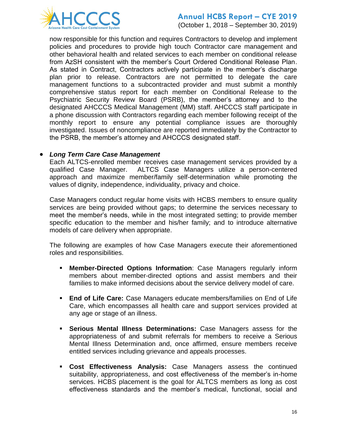

(October 1, 2018 – September 30, 2019)

now responsible for this function and requires Contractors to develop and implement policies and procedures to provide high touch Contractor care management and other behavioral health and related services to each member on conditional release from AzSH consistent with the member's Court Ordered Conditional Release Plan. As stated in Contract, Contractors actively participate in the member's discharge plan prior to release. Contractors are not permitted to delegate the care management functions to a subcontracted provider and must submit a monthly comprehensive status report for each member on Conditional Release to the Psychiatric Security Review Board (PSRB), the member's attorney and to the designated AHCCCS Medical Management (MM) staff. AHCCCS staff participate in a phone discussion with Contractors regarding each member following receipt of the monthly report to ensure any potential compliance issues are thoroughly investigated. Issues of noncompliance are reported immediately by the Contractor to the PSRB, the member's attorney and AHCCCS designated staff.

#### *Long Term Care Case Management*

Each ALTCS-enrolled member receives case management services provided by a qualified Case Manager. ALTCS Case Managers utilize a person-centered approach and maximize member/family self-determination while promoting the values of dignity, independence, individuality, privacy and choice.

Case Managers conduct regular home visits with HCBS members to ensure quality services are being provided without gaps; to determine the services necessary to meet the member's needs, while in the most integrated setting; to provide member specific education to the member and his/her family; and to introduce alternative models of care delivery when appropriate.

The following are examples of how Case Managers execute their aforementioned roles and responsibilities.

- **Member-Directed Options Information**: Case Managers regularly inform members about member-directed options and assist members and their families to make informed decisions about the service delivery model of care.
- **End of Life Care:** Case Managers educate members/families on End of Life Care, which encompasses all health care and support services provided at any age or stage of an illness.
- **Serious Mental Illness Determinations:** Case Managers assess for the appropriateness of and submit referrals for members to receive a Serious Mental Illness Determination and, once affirmed, ensure members receive entitled services including grievance and appeals processes.
- **Cost Effectiveness Analysis:** Case Managers assess the continued suitability, appropriateness, and cost effectiveness of the member's in-home services. HCBS placement is the goal for ALTCS members as long as cost effectiveness standards and the member's medical, functional, social and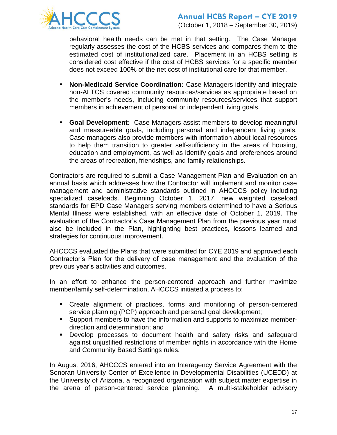

behavioral health needs can be met in that setting. The Case Manager regularly assesses the cost of the HCBS services and compares them to the estimated cost of institutionalized care. Placement in an HCBS setting is considered cost effective if the cost of HCBS services for a specific member does not exceed 100% of the net cost of institutional care for that member.

- **Non-Medicaid Service Coordination:** Case Managers identify and integrate non-ALTCS covered community resources/services as appropriate based on the member's needs, including community resources/services that support members in achievement of personal or independent living goals.
- **Goal Development:** Case Managers assist members to develop meaningful and measureable goals, including personal and independent living goals. Case managers also provide members with information about local resources to help them transition to greater self-sufficiency in the areas of housing, education and employment, as well as identify goals and preferences around the areas of recreation, friendships, and family relationships.

Contractors are required to submit a Case Management Plan and Evaluation on an annual basis which addresses how the Contractor will implement and monitor case management and administrative standards outlined in AHCCCS policy including specialized caseloads. Beginning October 1, 2017, new weighted caseload standards for EPD Case Managers serving members determined to have a Serious Mental Illness were established, with an effective date of October 1, 2019. The evaluation of the Contractor's Case Management Plan from the previous year must also be included in the Plan, highlighting best practices, lessons learned and strategies for continuous improvement.

AHCCCS evaluated the Plans that were submitted for CYE 2019 and approved each Contractor's Plan for the delivery of case management and the evaluation of the previous year's activities and outcomes.

In an effort to enhance the person-centered approach and further maximize member/family self-determination, AHCCCS initiated a process to:

- Create alignment of practices, forms and monitoring of person-centered service planning (PCP) approach and personal goal development;
- Support members to have the information and supports to maximize memberdirection and determination; and
- Develop processes to document health and safety risks and safeguard against unjustified restrictions of member rights in accordance with the Home and Community Based Settings rules.

In August 2016, AHCCCS entered into an Interagency Service Agreement with the Sonoran University Center of Excellence in Developmental Disabilities (UCEDD) at the University of Arizona, a recognized organization with subject matter expertise in the arena of person-centered service planning. A multi-stakeholder advisory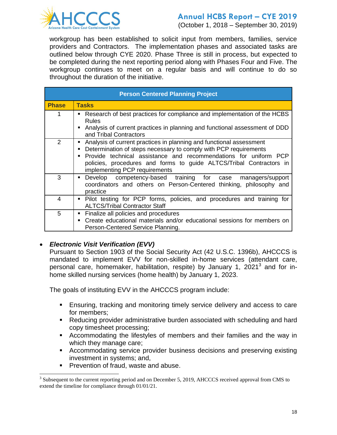

(October 1, 2018 – September 30, 2019)

workgroup has been established to solicit input from members, families, service providers and Contractors. The implementation phases and associated tasks are outlined below through CYE 2020. Phase Three is still in process, but expected to be completed during the next reporting period along with Phases Four and Five. The workgroup continues to meet on a regular basis and will continue to do so throughout the duration of the initiative.

| <b>Person Centered Planning Project</b> |                                                                                                                                                                                                                                                                                                                                            |  |  |  |  |  |  |
|-----------------------------------------|--------------------------------------------------------------------------------------------------------------------------------------------------------------------------------------------------------------------------------------------------------------------------------------------------------------------------------------------|--|--|--|--|--|--|
| <b>Phase</b>                            | <b>Tasks</b>                                                                                                                                                                                                                                                                                                                               |  |  |  |  |  |  |
|                                         | Research of best practices for compliance and implementation of the HCBS<br><b>Rules</b><br>Analysis of current practices in planning and functional assessment of DDD<br>$\blacksquare$<br>and Tribal Contractors                                                                                                                         |  |  |  |  |  |  |
| 2                                       | Analysis of current practices in planning and functional assessment<br>٠<br>Determination of steps necessary to comply with PCP requirements<br>Provide technical assistance and recommendations for uniform PCP<br>$\blacksquare$<br>policies, procedures and forms to guide ALTCS/Tribal Contractors in<br>implementing PCP requirements |  |  |  |  |  |  |
| 3                                       | Develop competency-based training for case managers/support<br>$\blacksquare$<br>coordinators and others on Person-Centered thinking, philosophy and<br>practice                                                                                                                                                                           |  |  |  |  |  |  |
| 4                                       | Pilot testing for PCP forms, policies, and procedures and training for<br>٠<br><b>ALTCS/Tribal Contractor Staff</b>                                                                                                                                                                                                                        |  |  |  |  |  |  |
| 5                                       | Finalize all policies and procedures<br>٠<br>Create educational materials and/or educational sessions for members on<br>$\blacksquare$<br>Person-Centered Service Planning.                                                                                                                                                                |  |  |  |  |  |  |

#### *Electronic Visit Verification (EVV)*

Pursuant to Section 1903 of the Social Security Act (42 U.S.C. 1396b), AHCCCS is mandated to implement EVV for non-skilled in-home services (attendant care, personal care, homemaker, habilitation, respite) by January 1, 2021<sup>3</sup> and for inhome skilled nursing services (home health) by January 1, 2023.

The goals of instituting EVV in the AHCCCS program include:

- **Ensuring, tracking and monitoring timely service delivery and access to care** for members;
- Reducing provider administrative burden associated with scheduling and hard copy timesheet processing;
- Accommodating the lifestyles of members and their families and the way in which they manage care;
- Accommodating service provider business decisions and preserving existing investment in systems; and,
- **Prevention of fraud, waste and abuse.**

l

 $3$  Subsequent to the current reporting period and on December 5, 2019, AHCCCS received approval from CMS to extend the timeline for compliance through 01/01/21.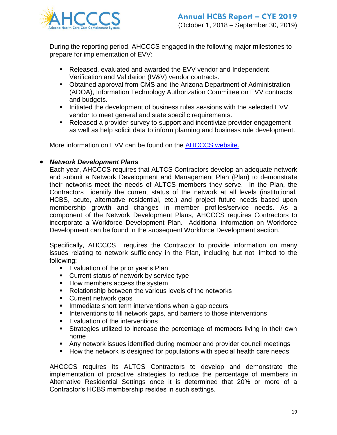

During the reporting period, AHCCCS engaged in the following major milestones to prepare for implementation of EVV:

- Released, evaluated and awarded the EVV vendor and Independent Verification and Validation (IV&V) vendor contracts.
- **Obtained approval from CMS and the Arizona Department of Administration** (ADOA), Information Technology Authorization Committee on EVV contracts and budgets.
- Initiated the development of business rules sessions with the selected EVV vendor to meet general and state specific requirements.
- Released a provider survey to support and incentivize provider engagement as well as help solicit data to inform planning and business rule development.

More information on EVV can be found on the [AHCCCS website.](http://www.azahcccs.gov/evv)

#### *Network Development Plans*

Each year, AHCCCS requires that ALTCS Contractors develop an adequate network and submit a Network Development and Management Plan (Plan) to demonstrate their networks meet the needs of ALTCS members they serve. In the Plan, the Contractors identify the current status of the network at all levels (institutional, HCBS, acute, alternative residential, etc.) and project future needs based upon membership growth and changes in member profiles/service needs. As a component of the Network Development Plans, AHCCCS requires Contractors to incorporate a Workforce Development Plan. Additional information on Workforce Development can be found in the subsequent Workforce Development section.

Specifically, AHCCCS requires the Contractor to provide information on many issues relating to network sufficiency in the Plan, including but not limited to the following:

- **Evaluation of the prior year's Plan**
- **Current status of network by service type**
- **How members access the system**
- Relationship between the various levels of the networks
- **Current network gaps**
- **Immediate short term interventions when a gap occurs**
- Interventions to fill network gaps, and barriers to those interventions
- **Evaluation of the interventions**
- Strategies utilized to increase the percentage of members living in their own home
- Any network issues identified during member and provider council meetings
- **How the network is designed for populations with special health care needs**

AHCCCS requires its ALTCS Contractors to develop and demonstrate the implementation of proactive strategies to reduce the percentage of members in Alternative Residential Settings once it is determined that 20% or more of a Contractor's HCBS membership resides in such settings.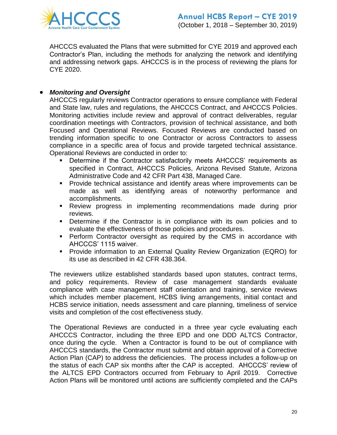

AHCCCS evaluated the Plans that were submitted for CYE 2019 and approved each Contractor's Plan, including the methods for analyzing the network and identifying and addressing network gaps. AHCCCS is in the process of reviewing the plans for CYE 2020.

#### *Monitoring and Oversight*

AHCCCS regularly reviews Contractor operations to ensure compliance with Federal and State law, rules and regulations, the AHCCCS Contract, and AHCCCS Policies. Monitoring activities include review and approval of contract deliverables, regular coordination meetings with Contractors, provision of technical assistance, and both Focused and Operational Reviews. Focused Reviews are conducted based on trending information specific to one Contractor or across Contractors to assess compliance in a specific area of focus and provide targeted technical assistance. Operational Reviews are conducted in order to:

- Determine if the Contractor satisfactorily meets AHCCCS' requirements as specified in Contract, AHCCCS Policies, Arizona Revised Statute, Arizona Administrative Code and 42 CFR Part 438, Managed Care.
- Provide technical assistance and identify areas where improvements can be made as well as identifying areas of noteworthy performance and accomplishments.
- Review progress in implementing recommendations made during prior reviews.
- Determine if the Contractor is in compliance with its own policies and to evaluate the effectiveness of those policies and procedures.
- **Perform Contractor oversight as required by the CMS in accordance with** AHCCCS' 1115 waiver.
- **Provide information to an External Quality Review Organization (EQRO) for** its use as described in 42 CFR 438.364.

The reviewers utilize established standards based upon statutes, contract terms, and policy requirements. Review of case management standards evaluate compliance with case management staff orientation and training, service reviews which includes member placement, HCBS living arrangements, initial contact and HCBS service initiation, needs assessment and care planning, timeliness of service visits and completion of the cost effectiveness study.

The Operational Reviews are conducted in a three year cycle evaluating each AHCCCS Contractor, including the three EPD and one DDD ALTCS Contractor, once during the cycle. When a Contractor is found to be out of compliance with AHCCCS standards, the Contractor must submit and obtain approval of a Corrective Action Plan (CAP) to address the deficiencies. The process includes a follow-up on the status of each CAP six months after the CAP is accepted. AHCCCS' review of the ALTCS EPD Contractors occurred from February to April 2019. Corrective Action Plans will be monitored until actions are sufficiently completed and the CAPs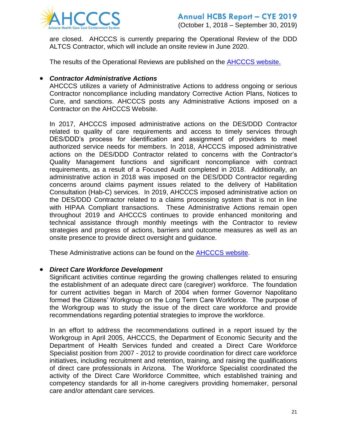

are closed. AHCCCS is currently preparing the Operational Review of the DDD ALTCS Contractor, which will include an onsite review in June 2020.

The results of the Operational Reviews are published on the [AHCCCS website.](https://www.azahcccs.gov/Resources/OversightOfHealthPlans/OpReviews.html)

#### *Contractor Administrative Actions*

AHCCCS utilizes a variety of Administrative Actions to address ongoing or serious Contractor noncompliance including mandatory Corrective Action Plans, Notices to Cure, and sanctions. AHCCCS posts any Administrative Actions imposed on a Contractor on the AHCCCS Website.

In 2017, AHCCCS imposed administrative actions on the DES/DDD Contractor related to quality of care requirements and access to timely services through DES/DDD's process for identification and assignment of providers to meet authorized service needs for members. In 2018, AHCCCS imposed administrative actions on the DES/DDD Contractor related to concerns with the Contractor's Quality Management functions and significant noncompliance with contract requirements, as a result of a Focused Audit completed in 2018. Additionally, an administrative action in 2018 was imposed on the DES/DDD Contractor regarding concerns around claims payment issues related to the delivery of Habilitation Consultation (Hab-C) services. In 2019, AHCCCS imposed administrative action on the DES/DDD Contractor related to a claims processing system that is not in line with HIPAA Compliant transactions. These Administrative Actions remain open throughout 2019 and AHCCCS continues to provide enhanced monitoring and technical assistance through monthly meetings with the Contractor to review strategies and progress of actions, barriers and outcome measures as well as an onsite presence to provide direct oversight and guidance.

These Administrative actions can be found on the [AHCCCS website.](https://www.azahcccs.gov/Resources/OversightOfHealthPlans/AdministrativeActions/)

#### *Direct Care Workforce Development*

Significant activities continue regarding the growing challenges related to ensuring the establishment of an adequate direct care (caregiver) workforce. The foundation for current activities began in March of 2004 when former Governor Napolitano formed the Citizens' Workgroup on the Long Term Care Workforce. The purpose of the Workgroup was to study the issue of the direct care workforce and provide recommendations regarding potential strategies to improve the workforce.

In an effort to address the recommendations outlined in a report issued by the Workgroup in April 2005, AHCCCS, the Department of Economic Security and the Department of Health Services funded and created a Direct Care Workforce Specialist position from 2007 - 2012 to provide coordination for direct care workforce initiatives, including recruitment and retention, training, and raising the qualifications of direct care professionals in Arizona. The Workforce Specialist coordinated the activity of the Direct Care Workforce Committee, which established training and competency standards for all in-home caregivers providing homemaker, personal care and/or attendant care services.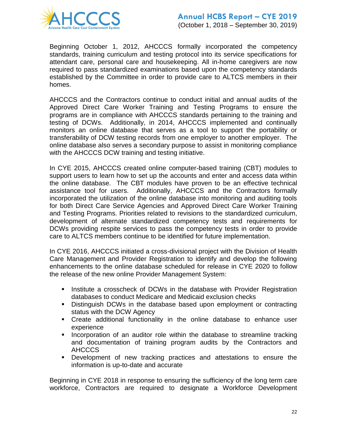

Beginning October 1, 2012, AHCCCS formally incorporated the competency standards, training curriculum and testing protocol into its service specifications for attendant care, personal care and housekeeping. All in-home caregivers are now required to pass standardized examinations based upon the competency standards established by the Committee in order to provide care to ALTCS members in their homes.

AHCCCS and the Contractors continue to conduct initial and annual audits of the Approved Direct Care Worker Training and Testing Programs to ensure the programs are in compliance with AHCCCS standards pertaining to the training and testing of DCWs. Additionally, in 2014, AHCCCS implemented and continually monitors an online database that serves as a tool to support the portability or transferability of DCW testing records from one employer to another employer. The online database also serves a secondary purpose to assist in monitoring compliance with the AHCCCS DCW training and testing initiative.

In CYE 2015, AHCCCS created online computer-based training (CBT) modules to support users to learn how to set up the accounts and enter and access data within the online database. The CBT modules have proven to be an effective technical assistance tool for users. Additionally, AHCCCS and the Contractors formally incorporated the utilization of the online database into monitoring and auditing tools for both Direct Care Service Agencies and Approved Direct Care Worker Training and Testing Programs. Priorities related to revisions to the standardized curriculum, development of alternate standardized competency tests and requirements for DCWs providing respite services to pass the competency tests in order to provide care to ALTCS members continue to be identified for future implementation.

In CYE 2016, AHCCCS initiated a cross-divisional project with the Division of Health Care Management and Provider Registration to identify and develop the following enhancements to the online database scheduled for release in CYE 2020 to follow the release of the new online Provider Management System:

- **I.** Institute a crosscheck of DCWs in the database with Provider Registration databases to conduct Medicare and Medicaid exclusion checks
- Distinguish DCWs in the database based upon employment or contracting status with the DCW Agency
- Create additional functionality in the online database to enhance user experience
- **Incorporation of an auditor role within the database to streamline tracking** and documentation of training program audits by the Contractors and AHCCCS
- Development of new tracking practices and attestations to ensure the information is up-to-date and accurate

Beginning in CYE 2018 in response to ensuring the sufficiency of the long term care workforce, Contractors are required to designate a Workforce Development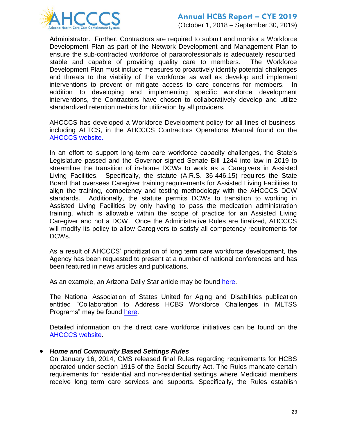

(October 1, 2018 – September 30, 2019)

Administrator. Further, Contractors are required to submit and monitor a Workforce Development Plan as part of the Network Development and Management Plan to ensure the sub-contracted workforce of paraprofessionals is adequately resourced, stable and capable of providing quality care to members. The Workforce Development Plan must include measures to proactively identify potential challenges and threats to the viability of the workforce as well as develop and implement interventions to prevent or mitigate access to care concerns for members. In addition to developing and implementing specific workforce development interventions, the Contractors have chosen to collaboratively develop and utilize standardized retention metrics for utilization by all providers.

AHCCCS has developed a Workforce Development policy for all lines of business, including ALTCS, in the AHCCCS Contractors Operations Manual found on the [AHCCCS website.](https://azahcccs.gov/shared/Downloads/ACOM/PolicyFiles/400/407_Workforce_Development.pdf)

In an effort to support long-term care workforce capacity challenges, the State's Legislature passed and the Governor signed Senate Bill 1244 into law in 2019 to streamline the transition of in-home DCWs to work as a Caregivers in Assisted Living Facilities. Specifically, the statute (A.R.S. 36-446.15) requires the State Board that oversees Caregiver training requirements for Assisted Living Facilities to align the training, competency and testing methodology with the AHCCCS DCW standards. Additionally, the statute permits DCWs to transition to working in Assisted Living Facilities by only having to pass the medication administration training, which is allowable within the scope of practice for an Assisted Living Caregiver and not a DCW. Once the Administrative Rules are finalized, AHCCCS will modify its policy to allow Caregivers to satisfy all competency requirements for DCWs.

As a result of AHCCCS' prioritization of long term care workforce development, the Agency has been requested to present at a number of national conferences and has been featured in news articles and publications.

As an example, an Arizona Daily Star article may be found [here.](https://tucson.com/news/local/state-s-medicaid-program-insurers-working-to-address-shortage-of/article_7d23fee8-4dc9-5dbd-99d4-a97c7f43c509.html)

The National Association of States United for Aging and Disabilities publication entitled "Collaboration to Address HCBS Workforce Challenges in MLTSS Programs" may be found [here.](http://www.nasuad.org/sites/nasuad/files/Collaborating%20to%20Address%20HCBS%20Workforce%20Challenges%20in%20MLTSS%20Programs%202019.pdf)

Detailed information on the direct care workforce initiatives can be found on the [AHCCCS website.](https://www.azahcccs.gov/PlansProviders/CurrentProviders/DCW/)

#### *Home and Community Based Settings Rules*

On January 16, 2014, CMS released final Rules regarding requirements for HCBS operated under section 1915 of the Social Security Act. The Rules mandate certain requirements for residential and non-residential settings where Medicaid members receive long term care services and supports. Specifically, the Rules establish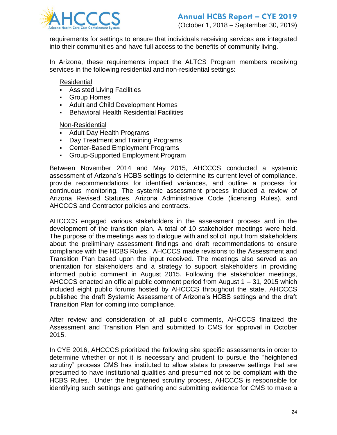

requirements for settings to ensure that individuals receiving services are integrated into their communities and have full access to the benefits of community living.

In Arizona, these requirements impact the ALTCS Program members receiving services in the following residential and non-residential settings:

Residential

- Assisted Living Facilities
- Group Homes
- Adult and Child Development Homes
- **Behavioral Health Residential Facilities**

Non-Residential

- **Adult Day Health Programs**
- Day Treatment and Training Programs
- Center-Based Employment Programs
- Group-Supported Employment Program

Between November 2014 and May 2015, AHCCCS conducted a systemic assessment of Arizona's HCBS settings to determine its current level of compliance, provide recommendations for identified variances, and outline a process for continuous monitoring. The systemic assessment process included a review of Arizona Revised Statutes, Arizona Administrative Code (licensing Rules), and AHCCCS and Contractor policies and contracts.

AHCCCS engaged various stakeholders in the assessment process and in the development of the transition plan. A total of 10 stakeholder meetings were held. The purpose of the meetings was to dialogue with and solicit input from stakeholders about the preliminary assessment findings and draft recommendations to ensure compliance with the HCBS Rules. AHCCCS made revisions to the Assessment and Transition Plan based upon the input received. The meetings also served as an orientation for stakeholders and a strategy to support stakeholders in providing informed public comment in August 2015. Following the stakeholder meetings, AHCCCS enacted an official public comment period from August 1 – 31, 2015 which included eight public forums hosted by AHCCCS throughout the state. AHCCCS published the draft Systemic Assessment of Arizona's HCBS settings and the draft Transition Plan for coming into compliance.

After review and consideration of all public comments, AHCCCS finalized the Assessment and Transition Plan and submitted to CMS for approval in October 2015.

In CYE 2016, AHCCCS prioritized the following site specific assessments in order to determine whether or not it is necessary and prudent to pursue the "heightened scrutiny" process CMS has instituted to allow states to preserve settings that are presumed to have institutional qualities and presumed not to be compliant with the HCBS Rules. Under the heightened scrutiny process, AHCCCS is responsible for identifying such settings and gathering and submitting evidence for CMS to make a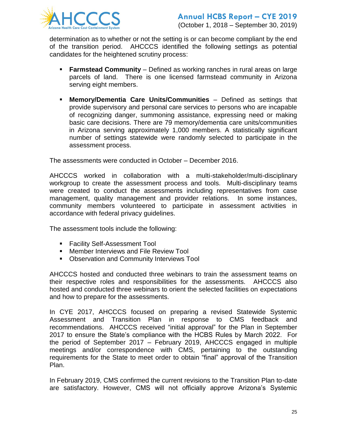

determination as to whether or not the setting is or can become compliant by the end of the transition period. AHCCCS identified the following settings as potential candidates for the heightened scrutiny process:

- **Farmstead Community** Defined as working ranches in rural areas on large parcels of land. There is one licensed farmstead community in Arizona serving eight members.
- **Memory/Dementia Care Units/Communities** Defined as settings that provide supervisory and personal care services to persons who are incapable of recognizing danger, summoning assistance, expressing need or making basic care decisions. There are 79 memory/dementia care units/communities in Arizona serving approximately 1,000 members. A statistically significant number of settings statewide were randomly selected to participate in the assessment process.

The assessments were conducted in October – December 2016.

AHCCCS worked in collaboration with a multi-stakeholder/multi-disciplinary workgroup to create the assessment process and tools. Multi-disciplinary teams were created to conduct the assessments including representatives from case management, quality management and provider relations. In some instances, community members volunteered to participate in assessment activities in accordance with federal privacy guidelines.

The assessment tools include the following:

- **Facility Self-Assessment Tool**
- **Member Interviews and File Review Tool**
- **DIMEX 20 THE COMMUNITY CONTROVER TOOL**

AHCCCS hosted and conducted three webinars to train the assessment teams on their respective roles and responsibilities for the assessments. AHCCCS also hosted and conducted three webinars to orient the selected facilities on expectations and how to prepare for the assessments.

In CYE 2017, AHCCCS focused on preparing a revised Statewide Systemic Assessment and Transition Plan in response to CMS feedback and recommendations. AHCCCS received "initial approval" for the Plan in September 2017 to ensure the State's compliance with the HCBS Rules by March 2022. For the period of September 2017 – February 2019, AHCCCS engaged in multiple meetings and/or correspondence with CMS, pertaining to the outstanding requirements for the State to meet order to obtain "final" approval of the Transition Plan.

In February 2019, CMS confirmed the current revisions to the Transition Plan to-date are satisfactory. However, CMS will not officially approve Arizona's Systemic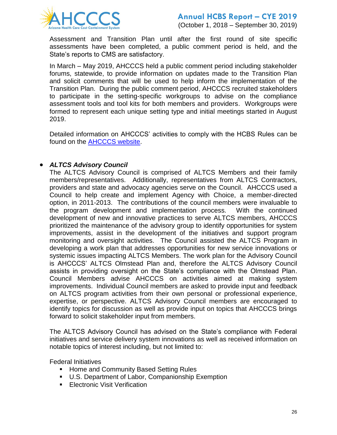

Assessment and Transition Plan until after the first round of site specific assessments have been completed, a public comment period is held, and the State's reports to CMS are satisfactory.

In March – May 2019, AHCCCS held a public comment period including stakeholder forums, statewide, to provide information on updates made to the Transition Plan and solicit comments that will be used to help inform the implementation of the Transition Plan. During the public comment period, AHCCCS recruited stakeholders to participate in the setting-specific workgroups to advise on the compliance assessment tools and tool kits for both members and providers. Workgroups were formed to represent each unique setting type and initial meetings started in August 2019.

Detailed information on AHCCCS' activities to comply with the HCBS Rules can be found on the [AHCCCS website.](https://www.azahcccs.gov/shared/HCBS/)

#### *ALTCS Advisory Council*

The ALTCS Advisory Council is comprised of ALTCS Members and their family members/representatives. Additionally, representatives from ALTCS Contractors, providers and state and advocacy agencies serve on the Council. AHCCCS used a Council to help create and implement Agency with Choice, a member-directed option, in 2011-2013. The contributions of the council members were invaluable to the program development and implementation process. With the continued development of new and innovative practices to serve ALTCS members, AHCCCS prioritized the maintenance of the advisory group to identify opportunities for system improvements, assist in the development of the initiatives and support program monitoring and oversight activities. The Council assisted the ALTCS Program in developing a work plan that addresses opportunities for new service innovations or systemic issues impacting ALTCS Members. The work plan for the Advisory Council is AHCCCS' ALTCS Olmstead Plan and, therefore the ALTCS Advisory Council assists in providing oversight on the State's compliance with the Olmstead Plan. Council Members advise AHCCCS on activities aimed at making system improvements. Individual Council members are asked to provide input and feedback on ALTCS program activities from their own personal or professional experience, expertise, or perspective. ALTCS Advisory Council members are encouraged to identify topics for discussion as well as provide input on topics that AHCCCS brings forward to solicit stakeholder input from members.

The ALTCS Advisory Council has advised on the State's compliance with Federal initiatives and service delivery system innovations as well as received information on notable topics of interest including, but not limited to:

Federal Initiatives

- **EXEDE And Community Based Setting Rules**
- U.S. Department of Labor, Companionship Exemption
- **Electronic Visit Verification**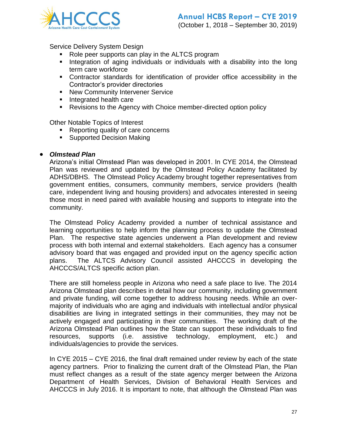

Service Delivery System Design

- Role peer supports can play in the ALTCS program
- **Integration of aging individuals or individuals with a disability into the long** term care workforce
- Contractor standards for identification of provider office accessibility in the Contractor's provider directories
- **New Community Intervener Service**
- **Integrated health care**
- Revisions to the Agency with Choice member-directed option policy

Other Notable Topics of Interest

- Reporting quality of care concerns
- **Supported Decision Making**

#### *Olmstead Plan*

Arizona's initial Olmstead Plan was developed in 2001. In CYE 2014, the Olmstead Plan was reviewed and updated by the Olmstead Policy Academy facilitated by ADHS/DBHS. The Olmstead Policy Academy brought together representatives from government entities, consumers, community members, service providers (health care, independent living and housing providers) and advocates interested in seeing those most in need paired with available housing and supports to integrate into the community.

The Olmstead Policy Academy provided a number of technical assistance and learning opportunities to help inform the planning process to update the Olmstead Plan. The respective state agencies underwent a Plan development and review process with both internal and external stakeholders. Each agency has a consumer advisory board that was engaged and provided input on the agency specific action plans. The ALTCS Advisory Council assisted AHCCCS in developing the AHCCCS/ALTCS specific action plan.

There are still homeless people in Arizona who need a safe place to live. The 2014 Arizona Olmstead plan describes in detail how our community, including government and private funding, will come together to address housing needs. While an overmajority of individuals who are aging and individuals with intellectual and/or physical disabilities are living in integrated settings in their communities, they may not be actively engaged and participating in their communities. The working draft of the Arizona Olmstead Plan outlines how the State can support these individuals to find resources, supports (i.e. assistive technology, employment, etc.) and individuals/agencies to provide the services.

In CYE 2015 – CYE 2016, the final draft remained under review by each of the state agency partners. Prior to finalizing the current draft of the Olmstead Plan, the Plan must reflect changes as a result of the state agency merger between the Arizona Department of Health Services, Division of Behavioral Health Services and AHCCCS in July 2016. It is important to note, that although the Olmstead Plan was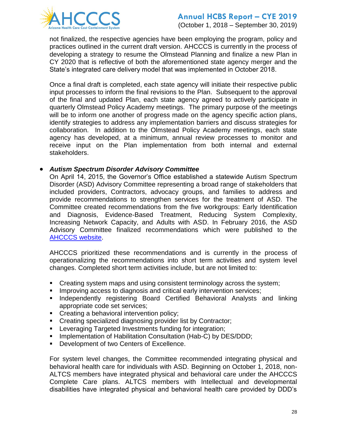

not finalized, the respective agencies have been employing the program, policy and practices outlined in the current draft version. AHCCCS is currently in the process of developing a strategy to resume the Olmstead Planning and finalize a new Plan in CY 2020 that is reflective of both the aforementioned state agency merger and the State's integrated care delivery model that was implemented in October 2018.

Once a final draft is completed, each state agency will initiate their respective public input processes to inform the final revisions to the Plan. Subsequent to the approval of the final and updated Plan, each state agency agreed to actively participate in quarterly Olmstead Policy Academy meetings. The primary purpose of the meetings will be to inform one another of progress made on the agency specific action plans, identify strategies to address any implementation barriers and discuss strategies for collaboration. In addition to the Olmstead Policy Academy meetings, each state agency has developed, at a minimum, annual review processes to monitor and receive input on the Plan implementation from both internal and external stakeholders.

#### *Autism Spectrum Disorder Advisory Committee*

On April 14, 2015, the Governor's Office established a statewide Autism Spectrum Disorder (ASD) Advisory Committee representing a broad range of stakeholders that included providers, Contractors, advocacy groups, and families to address and provide recommendations to strengthen services for the treatment of ASD. The Committee created recommendations from the five workgroups: Early Identification and Diagnosis, Evidence-Based Treatment, Reducing System Complexity, Increasing Network Capacity, and Adults with ASD. In February 2016, the ASD Advisory Committee finalized recommendations which were published to the [AHCCCS website.](https://www.azahcccs.gov/shared/ASD.html)

AHCCCS prioritized these recommendations and is currently in the process of operationalizing the recommendations into short term activities and system level changes. Completed short term activities include, but are not limited to:

- Creating system maps and using consistent terminology across the system;
- **IMPROVING ACCESS to diagnosis and critical early intervention services;**
- **Independently registering Board Certified Behavioral Analysts and linking** appropriate code set services;
- **Creating a behavioral intervention policy;**
- **EXECT** Creating specialized diagnosing provider list by Contractor;
- **EXECTED EXECTED INVESTMENTS** funding for integration;
- **Implementation of Habilitation Consultation (Hab-C) by DES/DDD;**
- Development of two Centers of Excellence.

For system level changes, the Committee recommended integrating physical and behavioral health care for individuals with ASD. Beginning on October 1, 2018, non-ALTCS members have integrated physical and behavioral care under the AHCCCS Complete Care plans. ALTCS members with Intellectual and developmental disabilities have integrated physical and behavioral health care provided by DDD's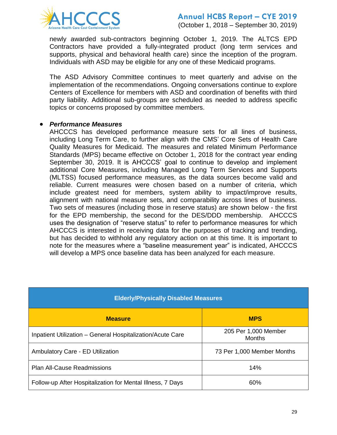

(October 1, 2018 – September 30, 2019)

newly awarded sub-contractors beginning October 1, 2019. The ALTCS EPD Contractors have provided a fully-integrated product (long term services and supports, physical and behavioral health care) since the inception of the program. Individuals with ASD may be eligible for any one of these Medicaid programs.

The ASD Advisory Committee continues to meet quarterly and advise on the implementation of the recommendations. Ongoing conversations continue to explore Centers of Excellence for members with ASD and coordination of benefits with third party liability. Additional sub-groups are scheduled as needed to address specific topics or concerns proposed by committee members.

#### *Performance Measures*

AHCCCS has developed performance measure sets for all lines of business, including Long Term Care, to further align with the CMS' Core Sets of Health Care Quality Measures for Medicaid. The measures and related Minimum Performance Standards (MPS) became effective on October 1, 2018 for the contract year ending September 30, 2019. It is AHCCCS' goal to continue to develop and implement additional Core Measures, including Managed Long Term Services and Supports (MLTSS) focused performance measures, as the data sources become valid and reliable. Current measures were chosen based on a number of criteria, which include greatest need for members, system ability to impact/improve results, alignment with national measure sets, and comparability across lines of business. Two sets of measures (including those in reserve status) are shown below - the first for the EPD membership, the second for the DES/DDD membership. AHCCCS uses the designation of "reserve status" to refer to performance measures for which AHCCCS is interested in receiving data for the purposes of tracking and trending, but has decided to withhold any regulatory action on at this time. It is important to note for the measures where a "baseline measurement year" is indicated, AHCCCS will develop a MPS once baseline data has been analyzed for each measure.

| <b>Elderly/Physically Disabled Measures</b>                |                                       |  |  |  |  |  |  |  |
|------------------------------------------------------------|---------------------------------------|--|--|--|--|--|--|--|
| <b>Measure</b>                                             | <b>MPS</b>                            |  |  |  |  |  |  |  |
| Inpatient Utilization - General Hospitalization/Acute Care | 205 Per 1,000 Member<br><b>Months</b> |  |  |  |  |  |  |  |
| <b>Ambulatory Care - ED Utilization</b>                    | 73 Per 1,000 Member Months            |  |  |  |  |  |  |  |
| <b>Plan All-Cause Readmissions</b>                         | 14%                                   |  |  |  |  |  |  |  |
| Follow-up After Hospitalization for Mental Illness, 7 Days | 60%                                   |  |  |  |  |  |  |  |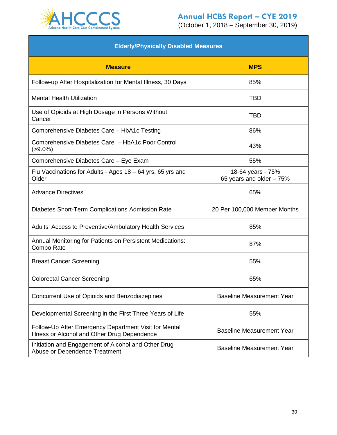

| <b>Elderly/Physically Disabled Measures</b>                                                           |                                               |  |  |  |  |  |  |  |  |
|-------------------------------------------------------------------------------------------------------|-----------------------------------------------|--|--|--|--|--|--|--|--|
| <b>Measure</b>                                                                                        | <b>MPS</b>                                    |  |  |  |  |  |  |  |  |
| Follow-up After Hospitalization for Mental Illness, 30 Days                                           | 85%                                           |  |  |  |  |  |  |  |  |
| <b>Mental Health Utilization</b>                                                                      | <b>TBD</b>                                    |  |  |  |  |  |  |  |  |
| Use of Opioids at High Dosage in Persons Without<br>Cancer                                            | TBD                                           |  |  |  |  |  |  |  |  |
| Comprehensive Diabetes Care - HbA1c Testing                                                           | 86%                                           |  |  |  |  |  |  |  |  |
| Comprehensive Diabetes Care - HbA1c Poor Control<br>$( > 9.0\%)$                                      | 43%                                           |  |  |  |  |  |  |  |  |
| Comprehensive Diabetes Care - Eye Exam                                                                | 55%                                           |  |  |  |  |  |  |  |  |
| Flu Vaccinations for Adults - Ages 18 – 64 yrs, 65 yrs and<br>Older                                   | 18-64 years - 75%<br>65 years and older - 75% |  |  |  |  |  |  |  |  |
| <b>Advance Directives</b>                                                                             | 65%                                           |  |  |  |  |  |  |  |  |
| Diabetes Short-Term Complications Admission Rate                                                      | 20 Per 100,000 Member Months                  |  |  |  |  |  |  |  |  |
| Adults' Access to Preventive/Ambulatory Health Services                                               | 85%                                           |  |  |  |  |  |  |  |  |
| Annual Monitoring for Patients on Persistent Medications:<br>Combo Rate                               | 87%                                           |  |  |  |  |  |  |  |  |
| <b>Breast Cancer Screening</b>                                                                        | 55%                                           |  |  |  |  |  |  |  |  |
| <b>Colorectal Cancer Screening</b>                                                                    | 65%                                           |  |  |  |  |  |  |  |  |
| Concurrent Use of Opioids and Benzodiazepines                                                         | <b>Baseline Measurement Year</b>              |  |  |  |  |  |  |  |  |
| Developmental Screening in the First Three Years of Life                                              | 55%                                           |  |  |  |  |  |  |  |  |
| Follow-Up After Emergency Department Visit for Mental<br>Illness or Alcohol and Other Drug Dependence | <b>Baseline Measurement Year</b>              |  |  |  |  |  |  |  |  |
| Initiation and Engagement of Alcohol and Other Drug<br>Abuse or Dependence Treatment                  | <b>Baseline Measurement Year</b>              |  |  |  |  |  |  |  |  |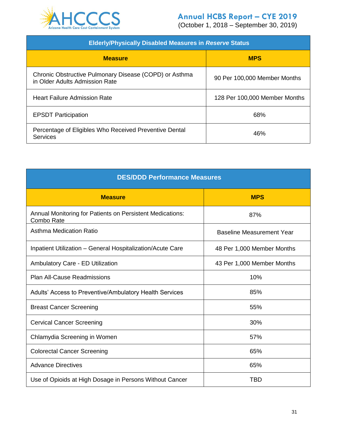

| <b>Elderly/Physically Disabled Measures in Reserve Status</b>                            |                               |  |  |  |  |  |  |
|------------------------------------------------------------------------------------------|-------------------------------|--|--|--|--|--|--|
| <b>Measure</b>                                                                           | <b>MPS</b>                    |  |  |  |  |  |  |
| Chronic Obstructive Pulmonary Disease (COPD) or Asthma<br>in Older Adults Admission Rate | 90 Per 100,000 Member Months  |  |  |  |  |  |  |
| <b>Heart Failure Admission Rate</b>                                                      | 128 Per 100,000 Member Months |  |  |  |  |  |  |
| <b>EPSDT Participation</b>                                                               | 68%                           |  |  |  |  |  |  |
| Percentage of Eligibles Who Received Preventive Dental<br>Services                       | 46%                           |  |  |  |  |  |  |

| <b>DES/DDD Performance Measures</b>                                     |                                  |  |  |  |  |  |  |  |
|-------------------------------------------------------------------------|----------------------------------|--|--|--|--|--|--|--|
| <b>Measure</b>                                                          | <b>MPS</b>                       |  |  |  |  |  |  |  |
| Annual Monitoring for Patients on Persistent Medications:<br>Combo Rate | 87%                              |  |  |  |  |  |  |  |
| <b>Asthma Medication Ratio</b>                                          | <b>Baseline Measurement Year</b> |  |  |  |  |  |  |  |
| Inpatient Utilization - General Hospitalization/Acute Care              | 48 Per 1,000 Member Months       |  |  |  |  |  |  |  |
| <b>Ambulatory Care - ED Utilization</b>                                 | 43 Per 1,000 Member Months       |  |  |  |  |  |  |  |
| <b>Plan All-Cause Readmissions</b>                                      | 10%                              |  |  |  |  |  |  |  |
| Adults' Access to Preventive/Ambulatory Health Services                 | 85%                              |  |  |  |  |  |  |  |
| <b>Breast Cancer Screening</b>                                          | 55%                              |  |  |  |  |  |  |  |
| <b>Cervical Cancer Screening</b>                                        | 30%                              |  |  |  |  |  |  |  |
| Chlamydia Screening in Women                                            | 57%                              |  |  |  |  |  |  |  |
| <b>Colorectal Cancer Screening</b>                                      | 65%                              |  |  |  |  |  |  |  |
| <b>Advance Directives</b>                                               | 65%                              |  |  |  |  |  |  |  |
| Use of Opioids at High Dosage in Persons Without Cancer                 | TBD                              |  |  |  |  |  |  |  |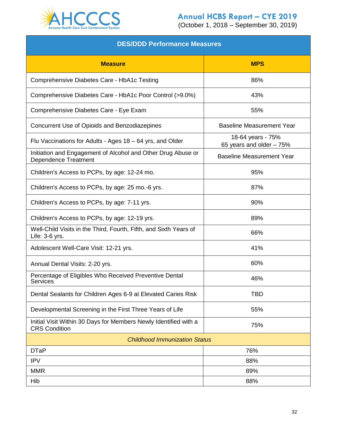

| <b>DES/DDD Performance Measures</b>                                                         |                                               |  |  |  |  |  |  |  |  |
|---------------------------------------------------------------------------------------------|-----------------------------------------------|--|--|--|--|--|--|--|--|
| <b>Measure</b>                                                                              | <b>MPS</b>                                    |  |  |  |  |  |  |  |  |
| Comprehensive Diabetes Care - HbA1c Testing                                                 | 86%                                           |  |  |  |  |  |  |  |  |
| Comprehensive Diabetes Care - HbA1c Poor Control (>9.0%)                                    | 43%                                           |  |  |  |  |  |  |  |  |
| Comprehensive Diabetes Care - Eye Exam                                                      | 55%                                           |  |  |  |  |  |  |  |  |
| Concurrent Use of Opioids and Benzodiazepines                                               | <b>Baseline Measurement Year</b>              |  |  |  |  |  |  |  |  |
| Flu Vaccinations for Adults - Ages 18 – 64 yrs, and Older                                   | 18-64 years - 75%<br>65 years and older - 75% |  |  |  |  |  |  |  |  |
| Initiation and Engagement of Alcohol and Other Drug Abuse or<br><b>Dependence Treatment</b> | <b>Baseline Measurement Year</b>              |  |  |  |  |  |  |  |  |
| Children's Access to PCPs, by age: 12-24 mo.                                                | 95%                                           |  |  |  |  |  |  |  |  |
| Children's Access to PCPs, by age: 25 mo.-6 yrs.                                            | 87%                                           |  |  |  |  |  |  |  |  |
| Children's Access to PCPs, by age: 7-11 yrs.                                                | 90%                                           |  |  |  |  |  |  |  |  |
| Children's Access to PCPs, by age: 12-19 yrs.                                               | 89%                                           |  |  |  |  |  |  |  |  |
| Well-Child Visits in the Third, Fourth, Fifth, and Sixth Years of<br>Life: 3-6 yrs.         | 66%                                           |  |  |  |  |  |  |  |  |
| Adolescent Well-Care Visit: 12-21 yrs.                                                      | 41%                                           |  |  |  |  |  |  |  |  |
| Annual Dental Visits: 2-20 yrs.                                                             | 60%                                           |  |  |  |  |  |  |  |  |
| Percentage of Eligibles Who Received Preventive Dental<br>Services                          | 46%                                           |  |  |  |  |  |  |  |  |
| Dental Sealants for Children Ages 6-9 at Elevated Caries Risk                               | <b>TBD</b>                                    |  |  |  |  |  |  |  |  |
| Developmental Screening in the First Three Years of Life                                    | 55%                                           |  |  |  |  |  |  |  |  |
| Initial Visit Within 30 Days for Members Newly Identified with a<br><b>CRS Condition</b>    | 75%                                           |  |  |  |  |  |  |  |  |
| <b>Childhood Immunization Status</b>                                                        |                                               |  |  |  |  |  |  |  |  |
| <b>DTaP</b>                                                                                 | 76%                                           |  |  |  |  |  |  |  |  |
| <b>IPV</b>                                                                                  | 88%                                           |  |  |  |  |  |  |  |  |
| <b>MMR</b>                                                                                  | 89%                                           |  |  |  |  |  |  |  |  |
| Hib                                                                                         | 88%                                           |  |  |  |  |  |  |  |  |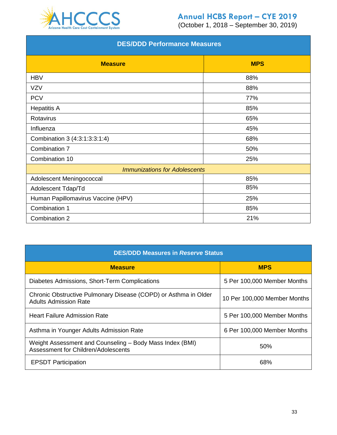

| <b>DES/DDD Performance Measures</b>  |     |  |  |  |  |  |  |  |
|--------------------------------------|-----|--|--|--|--|--|--|--|
| <b>MPS</b><br><b>Measure</b>         |     |  |  |  |  |  |  |  |
| <b>HBV</b>                           | 88% |  |  |  |  |  |  |  |
| <b>VZV</b>                           | 88% |  |  |  |  |  |  |  |
| <b>PCV</b>                           | 77% |  |  |  |  |  |  |  |
| <b>Hepatitis A</b>                   | 85% |  |  |  |  |  |  |  |
| Rotavirus                            | 65% |  |  |  |  |  |  |  |
| Influenza                            | 45% |  |  |  |  |  |  |  |
| Combination 3 (4:3:1:3:3:1:4)        | 68% |  |  |  |  |  |  |  |
| Combination 7                        | 50% |  |  |  |  |  |  |  |
| Combination 10                       | 25% |  |  |  |  |  |  |  |
| <b>Immunizations for Adolescents</b> |     |  |  |  |  |  |  |  |
| Adolescent Meningococcal             | 85% |  |  |  |  |  |  |  |
| Adolescent Tdap/Td                   | 85% |  |  |  |  |  |  |  |
| Human Papillomavirus Vaccine (HPV)   | 25% |  |  |  |  |  |  |  |
| Combination 1                        | 85% |  |  |  |  |  |  |  |
| Combination 2                        | 21% |  |  |  |  |  |  |  |

| <b>DES/DDD Measures in Reserve Status</b>                                                       |                              |  |  |  |  |  |  |  |
|-------------------------------------------------------------------------------------------------|------------------------------|--|--|--|--|--|--|--|
| <b>Measure</b>                                                                                  | <b>MPS</b>                   |  |  |  |  |  |  |  |
| Diabetes Admissions, Short-Term Complications                                                   | 5 Per 100,000 Member Months  |  |  |  |  |  |  |  |
| Chronic Obstructive Pulmonary Disease (COPD) or Asthma in Older<br><b>Adults Admission Rate</b> | 10 Per 100,000 Member Months |  |  |  |  |  |  |  |
| <b>Heart Failure Admission Rate</b>                                                             | 5 Per 100,000 Member Months  |  |  |  |  |  |  |  |
| Asthma in Younger Adults Admission Rate                                                         | 6 Per 100,000 Member Months  |  |  |  |  |  |  |  |
| Weight Assessment and Counseling – Body Mass Index (BMI)<br>Assessment for Children/Adolescents | 50%                          |  |  |  |  |  |  |  |
| <b>EPSDT Participation</b>                                                                      | 68%                          |  |  |  |  |  |  |  |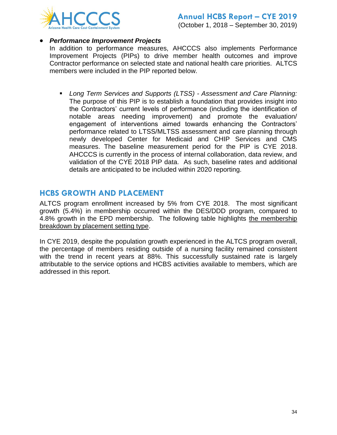

#### *Performance Improvement Projects*

In addition to performance measures, AHCCCS also implements Performance Improvement Projects (PIPs) to drive member health outcomes and improve Contractor performance on selected state and national health care priorities. ALTCS members were included in the PIP reported below.

 *Long Term Services and Supports (LTSS) - Assessment and Care Planning:*  The purpose of this PIP is to establish a foundation that provides insight into the Contractors' current levels of performance (including the identification of notable areas needing improvement) and promote the evaluation/ engagement of interventions aimed towards enhancing the Contractors' performance related to LTSS/MLTSS assessment and care planning through newly developed Center for Medicaid and CHIP Services and CMS measures. The baseline measurement period for the PIP is CYE 2018. AHCCCS is currently in the process of internal collaboration, data review, and validation of the CYE 2018 PIP data. As such, baseline rates and additional details are anticipated to be included within 2020 reporting.

## **HCBS GROWTH AND PLACEMENT**

ALTCS program enrollment increased by 5% from CYE 2018. The most significant growth (5.4%) in membership occurred within the DES/DDD program, compared to 4.8% growth in the EPD membership. The following table highlights the membership breakdown by placement setting type.

In CYE 2019, despite the population growth experienced in the ALTCS program overall, the percentage of members residing outside of a nursing facility remained consistent with the trend in recent years at 88%. This successfully sustained rate is largely attributable to the service options and HCBS activities available to members, which are addressed in this report.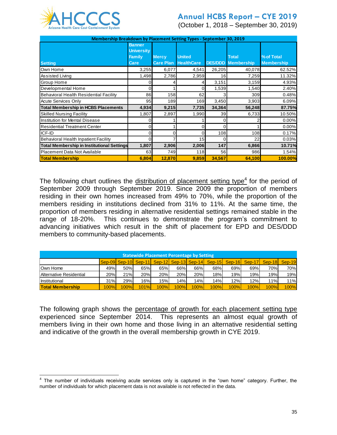

(October 1, 2018 – September 30, 2019)

| Membership Breakdown by Placement Setting Types - September 30, 2019 |                                                             |                                  |                                    |        |                                           |                                 |  |  |  |  |
|----------------------------------------------------------------------|-------------------------------------------------------------|----------------------------------|------------------------------------|--------|-------------------------------------------|---------------------------------|--|--|--|--|
| <b>Setting</b>                                                       | <b>Banner</b><br><b>University</b><br><b>Family</b><br>Care | <b>Mercy</b><br><b>Care Plan</b> | <b>United</b><br><b>HealthCare</b> |        | <b>Total</b><br><b>DES/DDD</b> Membership | % of Total<br><b>Membership</b> |  |  |  |  |
| Own Home                                                             | 3,255                                                       | 6,077                            | 4,541                              | 26,205 | 40,078                                    | 62.52%                          |  |  |  |  |
| Assisted Living                                                      | 1,498                                                       | 2,786                            | 2,959                              | 16     | 7,259                                     | 11.32%                          |  |  |  |  |
| Group Home                                                           |                                                             |                                  |                                    | 3,151  | 3,159                                     | 4.93%                           |  |  |  |  |
| Developmental Home                                                   |                                                             |                                  |                                    | 1,539  | 1,540                                     | 2.40%                           |  |  |  |  |
| Behavioral Health Residential Facility                               | 86                                                          | 158                              | 62                                 |        | 309                                       | 0.48%                           |  |  |  |  |
| <b>Acute Services Only</b>                                           | 95                                                          | 189                              | 169                                | 3,450  | 3,903                                     | 6.09%                           |  |  |  |  |
| <b>Total Membership in HCBS Placements</b>                           | 4,934                                                       | 9,215                            | 7,735                              | 34,364 | 56,248                                    | 87.75%                          |  |  |  |  |
| <b>Skilled Nursing Facility</b>                                      | 1,807                                                       | 2,897                            | 1,990                              | 39     | 6,733                                     | 10.50%                          |  |  |  |  |
| Institution for Mental Disease                                       | 0                                                           |                                  |                                    |        |                                           | 0.00%                           |  |  |  |  |
| <b>Residential Treatment Center</b>                                  | 0                                                           |                                  |                                    | 0      |                                           | 0.00%                           |  |  |  |  |
| ICF-ID                                                               | 0                                                           | ი                                |                                    | 108    | 108                                       | 0.17%                           |  |  |  |  |
| Behavioral Health Inpatient Facility                                 |                                                             |                                  | 15                                 | 0      | 22                                        | 0.03%                           |  |  |  |  |
| <b>Total Membership in Institutional Settings</b>                    | 1,807                                                       | 2,906                            | 2,006                              | 147    | 6,866                                     | 10.71%                          |  |  |  |  |
| Placement Data Not Available                                         | 63                                                          | 749                              | 118                                | 56     | 986                                       | 1.54%                           |  |  |  |  |
| <b>Total Membership</b>                                              | 6.804                                                       | 12,870                           | 9,859                              | 34,567 | 64,100                                    | 100.00%                         |  |  |  |  |

The following chart outlines the distribution of placement setting type<sup>4</sup> for the period of September 2009 through September 2019. Since 2009 the proportion of members residing in their own homes increased from 49% to 70%, while the proportion of the members residing in institutions declined from 31% to 11%. At the same time, the proportion of members residing in alternative residential settings remained stable in the range of 18-20%. This continues to demonstrate the program's commitment to advancing initiatives which result in the shift of placement for EPD and DES/DDD members to community-based placements.

| <b>Statewide Placement Percentage by Setting</b> |      |      |      |      |      |      |                                                                              |      |      |      |      |
|--------------------------------------------------|------|------|------|------|------|------|------------------------------------------------------------------------------|------|------|------|------|
|                                                  |      |      |      |      |      |      | Sep-09 Sep-10 Sep-11 Sep-12 Sep-13 Sep-14 Sep-15 Sep-16 Sep-17 Sep-18 Sep-19 |      |      |      |      |
| Own Home                                         | 49%  | 50%  | 65%  | 65%  | 66%  | 66%  | 68%                                                                          | 69%  | 69%  | 70%  | 70%  |
| Alternative Residential                          | 20%  | 21%  | 20%  | 20%  | 20%  | 20%  | 18%                                                                          | 19%  | 19%  | 19%  | 19%  |
| Institutional                                    | 31%  | 29%  | 16%  | 15%  | 14%  | 14%  | 14%                                                                          | 12%  | 12%  | 11%  | 11%  |
| <b>Total Membership</b>                          | 100% | 100% | 101% | 100% | 100% | 100% | 100%                                                                         | 100% | 100% | 100% | 100% |

The following graph shows the percentage of growth for each placement setting type experienced since September 2014. This represents an almost equal growth of members living in their own home and those living in an alternative residential setting and indicative of the growth in the overall membership growth in CYE 2019.

 4 The number of individuals receiving acute services only is captured in the "own home" category. Further, the number of individuals for which placement data is not available is not reflected in the data.